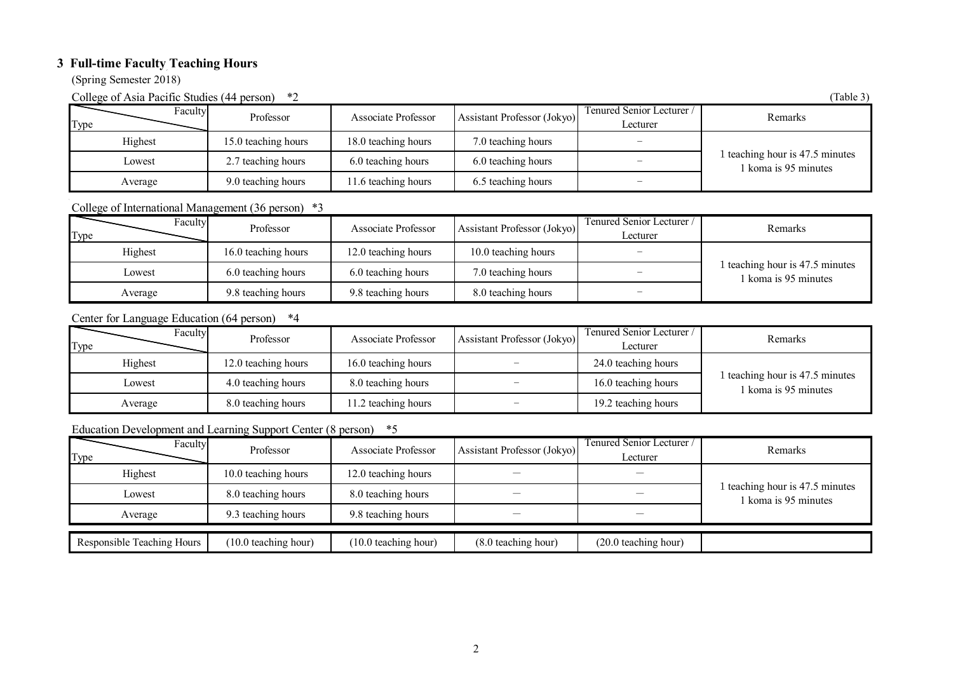## **3 Full-time Faculty Teaching Hours**

(Spring Semester 2018)

College of Asia Pacific Studies (44 person)  $*2$  (Table 3)

| $\frac{1}{2}$<br><b>PULPULL</b><br>$\sim$ we set |                     |                     |                             |                                       |                                                         |  |
|--------------------------------------------------|---------------------|---------------------|-----------------------------|---------------------------------------|---------------------------------------------------------|--|
| Faculty<br>Type                                  | Professor           | Associate Professor | Assistant Professor (Jokyo) | Tenured Senior Lecturer /<br>Lecturer | Remarks                                                 |  |
| Highest                                          | 15.0 teaching hours | 18.0 teaching hours | 7.0 teaching hours          |                                       |                                                         |  |
| Lowest                                           | 2.7 teaching hours  | 6.0 teaching hours  | 6.0 teaching hours          |                                       | 1 teaching hour is 47.5 minutes<br>1 koma is 95 minutes |  |
| Average                                          | 9.0 teaching hours  | 11.6 teaching hours | 6.5 teaching hours          |                                       |                                                         |  |

## College of International Management (36 person) \*3

| Faculty<br>Type | Professor           | Associate Professor | Assistant Professor (Jokyo) | Fenured Senior Lecturer /<br>Lecturer | Remarks                                                 |
|-----------------|---------------------|---------------------|-----------------------------|---------------------------------------|---------------------------------------------------------|
| Highest         | 16.0 teaching hours | 12.0 teaching hours | 10.0 teaching hours         |                                       | 1 teaching hour is 47.5 minutes<br>l koma is 95 minutes |
| Lowest          | 6.0 teaching hours  | 6.0 teaching hours  | 7.0 teaching hours          |                                       |                                                         |
| Average         | 9.8 teaching hours  | 9.8 teaching hours  | 8.0 teaching hours          |                                       |                                                         |

## Center for Language Education (64 person) \*4

| Faculty<br>Type | Professor           | Associate Professor | Assistant Professor (Jokyo) | Tenured Senior Lecturer /<br>Lecturer | Remarks                                               |
|-----------------|---------------------|---------------------|-----------------------------|---------------------------------------|-------------------------------------------------------|
| Highest         | 12.0 teaching hours | 16.0 teaching hours |                             | 24.0 teaching hours                   |                                                       |
| Lowest          | 4.0 teaching hours  | 8.0 teaching hours  |                             | 16.0 teaching hours                   | 1 teaching hour is 47.5 minutes<br>koma is 95 minutes |
| Average         | 8.0 teaching hours  | 1.2 teaching hours  | $\overline{\phantom{a}}$    | 19.2 teaching hours                   |                                                       |

## Education Development and Learning Support Center (8 person) \*5

| Faculty<br>Type            | Professor            | <b>Associate Professor</b> | Assistant Professor (Jokyo) | Tenured Senior Lecturer /<br>Lecturer | Remarks                                                 |
|----------------------------|----------------------|----------------------------|-----------------------------|---------------------------------------|---------------------------------------------------------|
| Highest                    | 10.0 teaching hours  | 12.0 teaching hours        |                             | --                                    |                                                         |
| Lowest                     | 8.0 teaching hours   | 8.0 teaching hours         |                             |                                       | 1 teaching hour is 47.5 minutes<br>l koma is 95 minutes |
| Average                    | 9.3 teaching hours   | 9.8 teaching hours         |                             |                                       |                                                         |
| Responsible Teaching Hours | (10.0 teaching hour) | (10.0 teaching hour)       | (8.0 teaching hour)         | $(20.0 \text{ teaching hour})$        |                                                         |
|                            |                      |                            |                             |                                       |                                                         |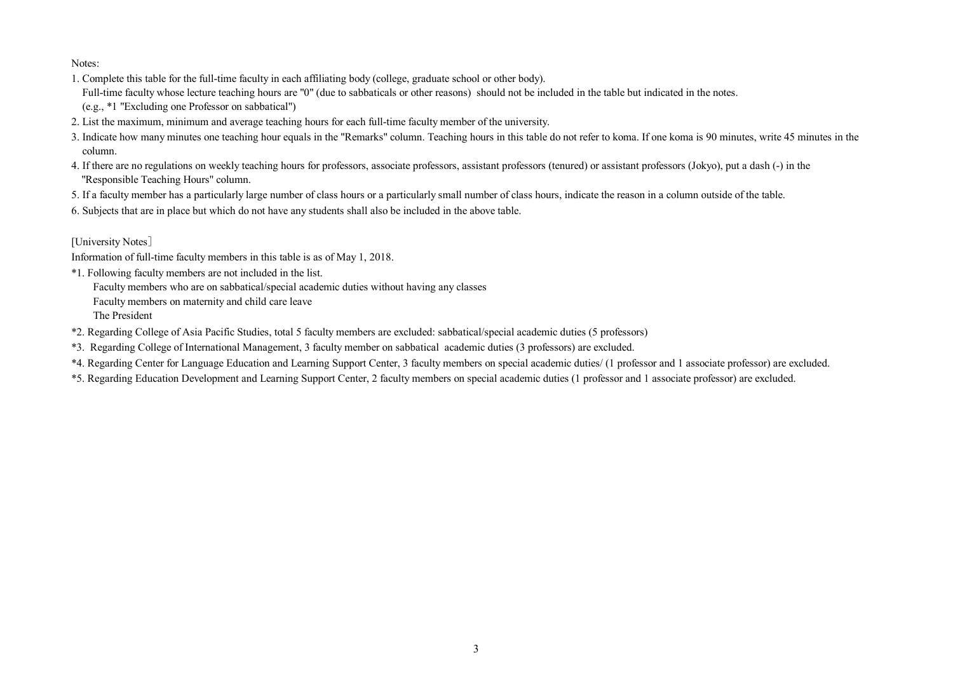Notes:

- 1. Complete this table for the full-time faculty in each affiliating body (college, graduate school or other body). Full-time faculty whose lecture teaching hours are "0" (due to sabbaticals or other reasons) should not be included in the table but indicated in the notes.
- (e.g., \*1 "Excluding one Professor on sabbatical")
- 2. List the maximum, minimum and average teaching hours for each full-time faculty member of the university.
- 3. Indicate how many minutes one teaching hour equals in the "Remarks" column. Teaching hours in this table do not refer to koma. If one koma is 90 minutes, write 45 minutes in the column.
- 4. If there are no regulations on weekly teaching hours for professors, associate professors, assistant professors (tenured) or assistant professors (Jokyo), put a dash (-) in the "Responsible Teaching Hours" column.
- 5. If a faculty member has a particularly large number of class hours or a particularly small number of class hours, indicate the reason in a column outside of the table.
- 6. Subjects that are in place but which do not have any students shall also be included in the above table.

### [University Notes]

Information of full-time faculty members in this table is as of May 1, 2018.

\*1. Following faculty members are not included in the list.

Faculty members who are on sabbatical/special academic duties without having any classes

Faculty members on maternity and child care leave

The President

- \*2. Regarding College of Asia Pacific Studies, total 5 faculty members are excluded: sabbatical/special academic duties (5 professors)
- \*3. Regarding College of International Management, 3 faculty member on sabbatical academic duties (3 professors) are excluded.
- \*4. Regarding Center for Language Education and Learning Support Center, 3 faculty members on special academic duties/ (1 professor and 1 associate professor) are excluded.
- \*5. Regarding Education Development and Learning Support Center, 2 faculty members on special academic duties (1 professor and 1 associate professor) are excluded.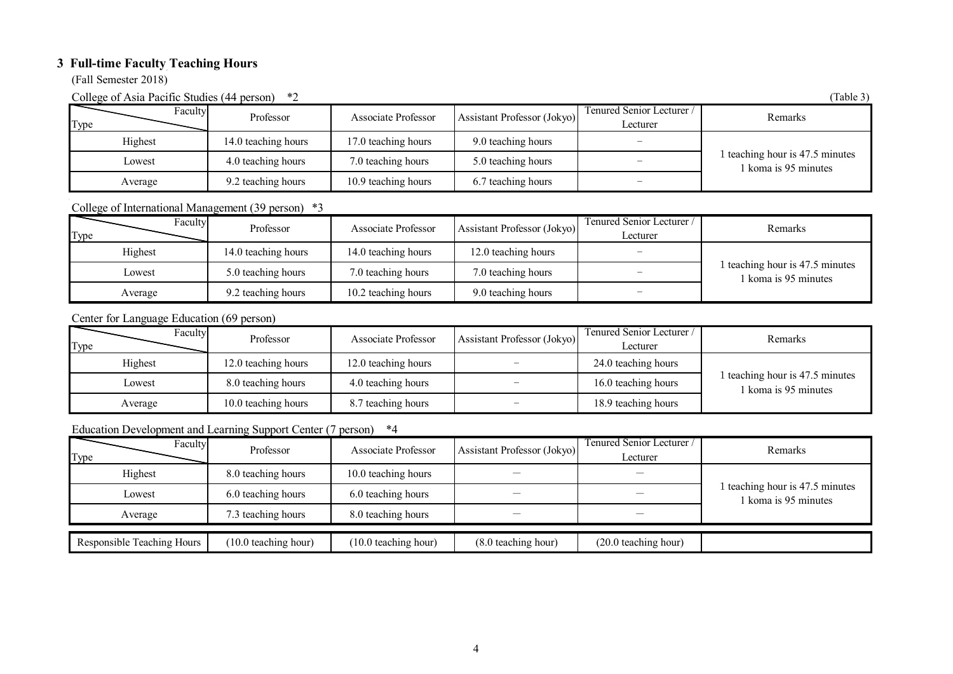# **3 Full-time Faculty Teaching Hours**

(Fall Semester 2018)

College of Asia Pacific Studies (44 person)  $*2$  (Table 3)

| $\frac{1}{2}$<br><b>PULPULL</b> |                     |                     |                             |                                       |                                                         |  |
|---------------------------------|---------------------|---------------------|-----------------------------|---------------------------------------|---------------------------------------------------------|--|
| Faculty<br>Type                 | Professor           | Associate Professor | Assistant Professor (Jokyo) | Tenured Senior Lecturer /<br>Lecturer | Remarks                                                 |  |
| Highest                         | 14.0 teaching hours | 17.0 teaching hours | 9.0 teaching hours          |                                       |                                                         |  |
| Lowest                          | 4.0 teaching hours  | 7.0 teaching hours  | 5.0 teaching hours          |                                       | 1 teaching hour is 47.5 minutes<br>1 koma is 95 minutes |  |
| Average                         | 9.2 teaching hours  | 10.9 teaching hours | 6.7 teaching hours          |                                       |                                                         |  |

### College of International Management (39 person) \*3

| Faculty<br>Type | Professor           | Associate Professor | Assistant Professor (Jokyo) | Fenured Senior Lecturer /<br>Lecturer | Remarks                                               |
|-----------------|---------------------|---------------------|-----------------------------|---------------------------------------|-------------------------------------------------------|
| Highest         | 14.0 teaching hours | 14.0 teaching hours | 12.0 teaching hours         |                                       | 1 teaching hour is 47.5 minutes<br>koma is 95 minutes |
| Lowest          | 5.0 teaching hours  | 7.0 teaching hours  | 7.0 teaching hours          |                                       |                                                       |
| Average         | 9.2 teaching hours  | 10.2 teaching hours | 9.0 teaching hours          |                                       |                                                       |

Center for Language Education (69 person)

| Faculty<br>Type | Professor           | Associate Professor | Assistant Professor (Jokyo) | Tenured Senior Lecturer /<br>Lecturer | Remarks                                                 |
|-----------------|---------------------|---------------------|-----------------------------|---------------------------------------|---------------------------------------------------------|
| Highest         | 12.0 teaching hours | 12.0 teaching hours |                             | 24.0 teaching hours                   |                                                         |
| Lowest          | 8.0 teaching hours  | 4.0 teaching hours  | $\overline{\phantom{0}}$    | 16.0 teaching hours                   | 1 teaching hour is 47.5 minutes<br>1 koma is 95 minutes |
| Average         | 10.0 teaching hours | 8.7 teaching hours  |                             | 18.9 teaching hours                   |                                                         |

## Education Development and Learning Support Center (7 person) \*4

| Faculty<br>Type            | Professor            | Associate Professor  | Assistant Professor (Jokyo) | Tenured Senior Lecturer<br>Lecturer | Remarks                                                 |
|----------------------------|----------------------|----------------------|-----------------------------|-------------------------------------|---------------------------------------------------------|
| Highest                    | 8.0 teaching hours   | 10.0 teaching hours  |                             |                                     |                                                         |
| Lowest                     | 6.0 teaching hours   | 6.0 teaching hours   |                             |                                     | 1 teaching hour is 47.5 minutes<br>1 koma is 95 minutes |
| Average                    | 7.3 teaching hours   | 8.0 teaching hours   |                             |                                     |                                                         |
| Responsible Teaching Hours | (10.0 teaching hour) | (10.0 teaching hour) | (8.0 teaching hour)         | $(20.0 \text{ teaching hour})$      |                                                         |